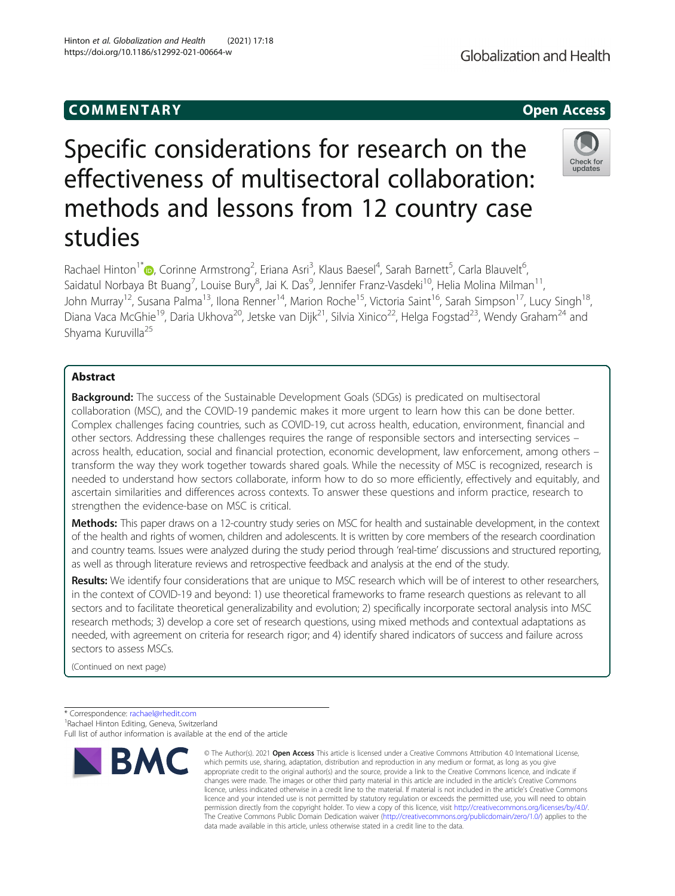# COMM EN TARY Open Access

# Specific considerations for research on the effectiveness of multisectoral collaboration: methods and lessons from 12 country case studies

Rachael Hinton<sup>1\*</sup> $\bullet$ [,](http://orcid.org/0000-0002-0452-6304) Corinne Armstrong<sup>2</sup>, Eriana Asri<sup>3</sup>, Klaus Baesel<sup>4</sup>, Sarah Barnett<sup>5</sup>, Carla Blauvelt<sup>6</sup> , Saidatul Norbaya Bt Buang<sup>7</sup>, Louise Bury<sup>8</sup>, Jai K. Das<sup>9</sup>, Jennifer Franz-Vasdeki<sup>10</sup>, Helia Molina Milman<sup>11</sup>, John Murray<sup>12</sup>, Susana Palma<sup>13</sup>, Ilona Renner<sup>14</sup>, Marion Roche<sup>15</sup>, Victoria Saint<sup>16</sup>, Sarah Simpson<sup>17</sup>, Lucy Singh<sup>18</sup>, Diana Vaca McGhie<sup>19</sup>, Daria Ukhova<sup>20</sup>, Jetske van Dijk<sup>21</sup>, Silvia Xinico<sup>22</sup>, Helga Fogstad<sup>23</sup>, Wendy Graham<sup>24</sup> and Shyama Kuruvilla<sup>25</sup>

# Abstract

**Background:** The success of the Sustainable Development Goals (SDGs) is predicated on multisectoral collaboration (MSC), and the COVID-19 pandemic makes it more urgent to learn how this can be done better. Complex challenges facing countries, such as COVID-19, cut across health, education, environment, financial and other sectors. Addressing these challenges requires the range of responsible sectors and intersecting services – across health, education, social and financial protection, economic development, law enforcement, among others – transform the way they work together towards shared goals. While the necessity of MSC is recognized, research is needed to understand how sectors collaborate, inform how to do so more efficiently, effectively and equitably, and ascertain similarities and differences across contexts. To answer these questions and inform practice, research to strengthen the evidence-base on MSC is critical.

Methods: This paper draws on a 12-country study series on MSC for health and sustainable development, in the context of the health and rights of women, children and adolescents. It is written by core members of the research coordination and country teams. Issues were analyzed during the study period through 'real-time' discussions and structured reporting, as well as through literature reviews and retrospective feedback and analysis at the end of the study.

Results: We identify four considerations that are unique to MSC research which will be of interest to other researchers, in the context of COVID-19 and beyond: 1) use theoretical frameworks to frame research questions as relevant to all sectors and to facilitate theoretical generalizability and evolution; 2) specifically incorporate sectoral analysis into MSC research methods; 3) develop a core set of research questions, using mixed methods and contextual adaptations as needed, with agreement on criteria for research rigor; and 4) identify shared indicators of success and failure across sectors to assess MSCs.

(Continued on next page)

\* Correspondence: [rachael@rhedit.com](mailto:rachael@rhedit.com) <sup>1</sup> <sup>1</sup> Rachael Hinton Editing, Geneva, Switzerland Full list of author information is available at the end of the article

#### © The Author(s), 2021 **Open Access** This article is licensed under a Creative Commons Attribution 4.0 International License, **RMC** which permits use, sharing, adaptation, distribution and reproduction in any medium or format, as long as you give appropriate credit to the original author(s) and the source, provide a link to the Creative Commons licence, and indicate if changes were made. The images or other third party material in this article are included in the article's Creative Commons licence, unless indicated otherwise in a credit line to the material. If material is not included in the article's Creative Commons licence and your intended use is not permitted by statutory regulation or exceeds the permitted use, you will need to obtain permission directly from the copyright holder. To view a copy of this licence, visit [http://creativecommons.org/licenses/by/4.0/.](http://creativecommons.org/licenses/by/4.0/) The Creative Commons Public Domain Dedication waiver [\(http://creativecommons.org/publicdomain/zero/1.0/](http://creativecommons.org/publicdomain/zero/1.0/)) applies to the data made available in this article, unless otherwise stated in a credit line to the data.



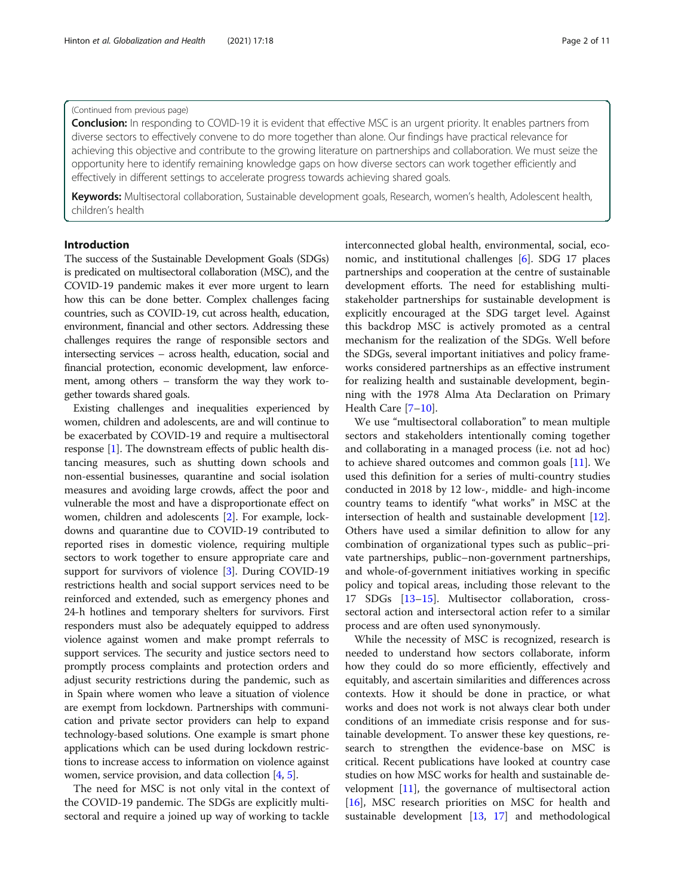### (Continued from previous page)

**Conclusion:** In responding to COVID-19 it is evident that effective MSC is an urgent priority. It enables partners from diverse sectors to effectively convene to do more together than alone. Our findings have practical relevance for achieving this objective and contribute to the growing literature on partnerships and collaboration. We must seize the opportunity here to identify remaining knowledge gaps on how diverse sectors can work together efficiently and effectively in different settings to accelerate progress towards achieving shared goals.

Keywords: Multisectoral collaboration, Sustainable development goals, Research, women's health, Adolescent health, children's health

# Introduction

The success of the Sustainable Development Goals (SDGs) is predicated on multisectoral collaboration (MSC), and the COVID-19 pandemic makes it ever more urgent to learn how this can be done better. Complex challenges facing countries, such as COVID-19, cut across health, education, environment, financial and other sectors. Addressing these challenges requires the range of responsible sectors and intersecting services – across health, education, social and financial protection, economic development, law enforcement, among others – transform the way they work together towards shared goals.

Existing challenges and inequalities experienced by women, children and adolescents, are and will continue to be exacerbated by COVID-19 and require a multisectoral response [[1\]](#page-9-0). The downstream effects of public health distancing measures, such as shutting down schools and non-essential businesses, quarantine and social isolation measures and avoiding large crowds, affect the poor and vulnerable the most and have a disproportionate effect on women, children and adolescents [[2\]](#page-9-0). For example, lockdowns and quarantine due to COVID-19 contributed to reported rises in domestic violence, requiring multiple sectors to work together to ensure appropriate care and support for survivors of violence [[3](#page-9-0)]. During COVID-19 restrictions health and social support services need to be reinforced and extended, such as emergency phones and 24-h hotlines and temporary shelters for survivors. First responders must also be adequately equipped to address violence against women and make prompt referrals to support services. The security and justice sectors need to promptly process complaints and protection orders and adjust security restrictions during the pandemic, such as in Spain where women who leave a situation of violence are exempt from lockdown. Partnerships with communication and private sector providers can help to expand technology-based solutions. One example is smart phone applications which can be used during lockdown restrictions to increase access to information on violence against women, service provision, and data collection [[4,](#page-9-0) [5](#page-9-0)].

The need for MSC is not only vital in the context of the COVID-19 pandemic. The SDGs are explicitly multisectoral and require a joined up way of working to tackle

interconnected global health, environmental, social, economic, and institutional challenges [\[6](#page-9-0)]. SDG 17 places partnerships and cooperation at the centre of sustainable development efforts. The need for establishing multistakeholder partnerships for sustainable development is explicitly encouraged at the SDG target level. Against this backdrop MSC is actively promoted as a central mechanism for the realization of the SDGs. Well before the SDGs, several important initiatives and policy frameworks considered partnerships as an effective instrument for realizing health and sustainable development, beginning with the 1978 Alma Ata Declaration on Primary Health Care [\[7](#page-9-0)–[10\]](#page-9-0).

We use "multisectoral collaboration" to mean multiple sectors and stakeholders intentionally coming together and collaborating in a managed process (i.e. not ad hoc) to achieve shared outcomes and common goals [\[11\]](#page-9-0). We used this definition for a series of multi-country studies conducted in 2018 by 12 low-, middle- and high-income country teams to identify "what works" in MSC at the intersection of health and sustainable development [\[12](#page-9-0)]. Others have used a similar definition to allow for any combination of organizational types such as public–private partnerships, public–non-government partnerships, and whole-of-government initiatives working in specific policy and topical areas, including those relevant to the 17 SDGs [[13](#page-9-0)–[15](#page-9-0)]. Multisector collaboration, crosssectoral action and intersectoral action refer to a similar process and are often used synonymously.

While the necessity of MSC is recognized, research is needed to understand how sectors collaborate, inform how they could do so more efficiently, effectively and equitably, and ascertain similarities and differences across contexts. How it should be done in practice, or what works and does not work is not always clear both under conditions of an immediate crisis response and for sustainable development. To answer these key questions, research to strengthen the evidence-base on MSC is critical. Recent publications have looked at country case studies on how MSC works for health and sustainable development [\[11](#page-9-0)], the governance of multisectoral action [[16\]](#page-9-0), MSC research priorities on MSC for health and sustainable development [\[13](#page-9-0), [17](#page-9-0)] and methodological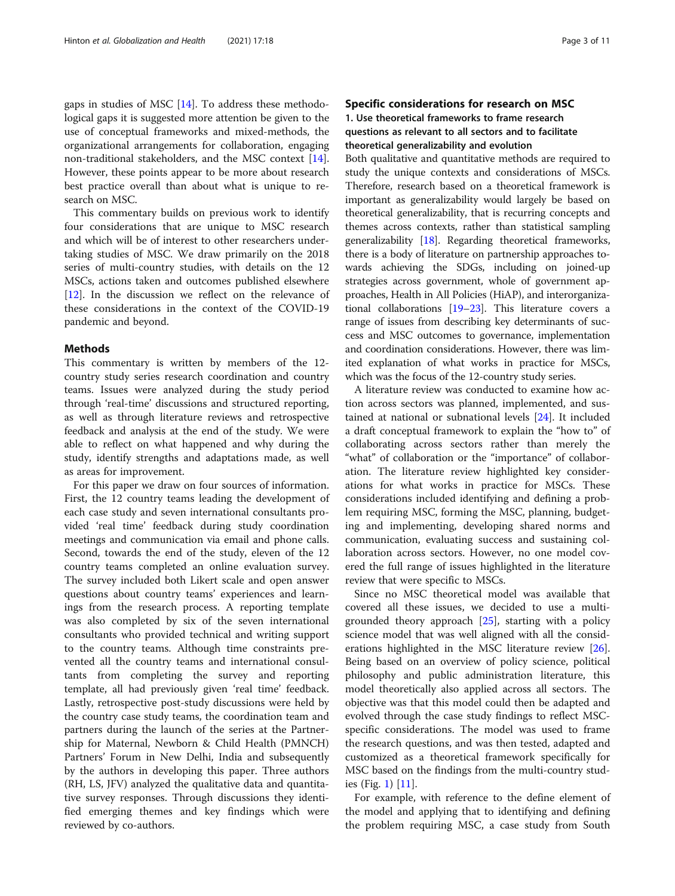gaps in studies of MSC [\[14](#page-9-0)]. To address these methodological gaps it is suggested more attention be given to the use of conceptual frameworks and mixed-methods, the organizational arrangements for collaboration, engaging non-traditional stakeholders, and the MSC context [[14](#page-9-0)]. However, these points appear to be more about research best practice overall than about what is unique to research on MSC.

This commentary builds on previous work to identify four considerations that are unique to MSC research and which will be of interest to other researchers undertaking studies of MSC. We draw primarily on the 2018 series of multi-country studies, with details on the 12 MSCs, actions taken and outcomes published elsewhere [[12\]](#page-9-0). In the discussion we reflect on the relevance of these considerations in the context of the COVID-19 pandemic and beyond.

#### Methods

This commentary is written by members of the 12 country study series research coordination and country teams. Issues were analyzed during the study period through 'real-time' discussions and structured reporting, as well as through literature reviews and retrospective feedback and analysis at the end of the study. We were able to reflect on what happened and why during the study, identify strengths and adaptations made, as well as areas for improvement.

For this paper we draw on four sources of information. First, the 12 country teams leading the development of each case study and seven international consultants provided 'real time' feedback during study coordination meetings and communication via email and phone calls. Second, towards the end of the study, eleven of the 12 country teams completed an online evaluation survey. The survey included both Likert scale and open answer questions about country teams' experiences and learnings from the research process. A reporting template was also completed by six of the seven international consultants who provided technical and writing support to the country teams. Although time constraints prevented all the country teams and international consultants from completing the survey and reporting template, all had previously given 'real time' feedback. Lastly, retrospective post-study discussions were held by the country case study teams, the coordination team and partners during the launch of the series at the Partnership for Maternal, Newborn & Child Health (PMNCH) Partners' Forum in New Delhi, India and subsequently by the authors in developing this paper. Three authors (RH, LS, JFV) analyzed the qualitative data and quantitative survey responses. Through discussions they identified emerging themes and key findings which were reviewed by co-authors.

# Specific considerations for research on MSC 1. Use theoretical frameworks to frame research questions as relevant to all sectors and to facilitate theoretical generalizability and evolution

Both qualitative and quantitative methods are required to study the unique contexts and considerations of MSCs. Therefore, research based on a theoretical framework is important as generalizability would largely be based on theoretical generalizability, that is recurring concepts and themes across contexts, rather than statistical sampling generalizability [[18](#page-9-0)]. Regarding theoretical frameworks, there is a body of literature on partnership approaches towards achieving the SDGs, including on joined-up strategies across government, whole of government approaches, Health in All Policies (HiAP), and interorganizational collaborations [\[19](#page-9-0)–[23](#page-9-0)]. This literature covers a range of issues from describing key determinants of success and MSC outcomes to governance, implementation and coordination considerations. However, there was limited explanation of what works in practice for MSCs, which was the focus of the 12-country study series.

A literature review was conducted to examine how action across sectors was planned, implemented, and sustained at national or subnational levels [\[24](#page-9-0)]. It included a draft conceptual framework to explain the "how to" of collaborating across sectors rather than merely the "what" of collaboration or the "importance" of collaboration. The literature review highlighted key considerations for what works in practice for MSCs. These considerations included identifying and defining a problem requiring MSC, forming the MSC, planning, budgeting and implementing, developing shared norms and communication, evaluating success and sustaining collaboration across sectors. However, no one model covered the full range of issues highlighted in the literature review that were specific to MSCs.

Since no MSC theoretical model was available that covered all these issues, we decided to use a multigrounded theory approach [[25\]](#page-9-0), starting with a policy science model that was well aligned with all the considerations highlighted in the MSC literature review [\[26](#page-9-0)]. Being based on an overview of policy science, political philosophy and public administration literature, this model theoretically also applied across all sectors. The objective was that this model could then be adapted and evolved through the case study findings to reflect MSCspecific considerations. The model was used to frame the research questions, and was then tested, adapted and customized as a theoretical framework specifically for MSC based on the findings from the multi-country studies (Fig. [1\)](#page-3-0) [\[11](#page-9-0)].

For example, with reference to the define element of the model and applying that to identifying and defining the problem requiring MSC, a case study from South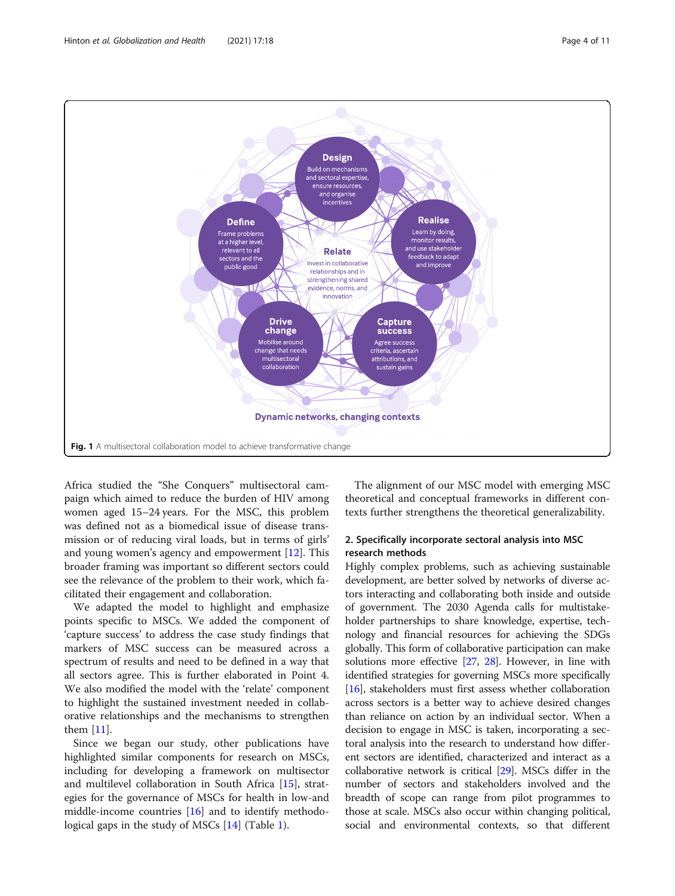<span id="page-3-0"></span>

Africa studied the "She Conquers" multisectoral campaign which aimed to reduce the burden of HIV among women aged 15–24 years. For the MSC, this problem was defined not as a biomedical issue of disease transmission or of reducing viral loads, but in terms of girls' and young women's agency and empowerment [\[12](#page-9-0)]. This broader framing was important so different sectors could see the relevance of the problem to their work, which facilitated their engagement and collaboration.

We adapted the model to highlight and emphasize points specific to MSCs. We added the component of 'capture success' to address the case study findings that markers of MSC success can be measured across a spectrum of results and need to be defined in a way that all sectors agree. This is further elaborated in Point 4. We also modified the model with the 'relate' component to highlight the sustained investment needed in collaborative relationships and the mechanisms to strengthen them [[11\]](#page-9-0).

Since we began our study, other publications have highlighted similar components for research on MSCs, including for developing a framework on multisector and multilevel collaboration in South Africa [[15](#page-9-0)], strategies for the governance of MSCs for health in low-and middle-income countries  $[16]$  $[16]$  $[16]$  and to identify methodological gaps in the study of MSCs [\[14\]](#page-9-0) (Table [1](#page-4-0)).

The alignment of our MSC model with emerging MSC theoretical and conceptual frameworks in different contexts further strengthens the theoretical generalizability.

# 2. Specifically incorporate sectoral analysis into MSC research methods

Highly complex problems, such as achieving sustainable development, are better solved by networks of diverse actors interacting and collaborating both inside and outside of government. The 2030 Agenda calls for multistakeholder partnerships to share knowledge, expertise, technology and financial resources for achieving the SDGs globally. This form of collaborative participation can make solutions more effective [\[27,](#page-9-0) [28](#page-9-0)]. However, in line with identified strategies for governing MSCs more specifically [[16](#page-9-0)], stakeholders must first assess whether collaboration across sectors is a better way to achieve desired changes than reliance on action by an individual sector. When a decision to engage in MSC is taken, incorporating a sectoral analysis into the research to understand how different sectors are identified, characterized and interact as a collaborative network is critical [\[29\]](#page-9-0). MSCs differ in the number of sectors and stakeholders involved and the breadth of scope can range from pilot programmes to those at scale. MSCs also occur within changing political, social and environmental contexts, so that different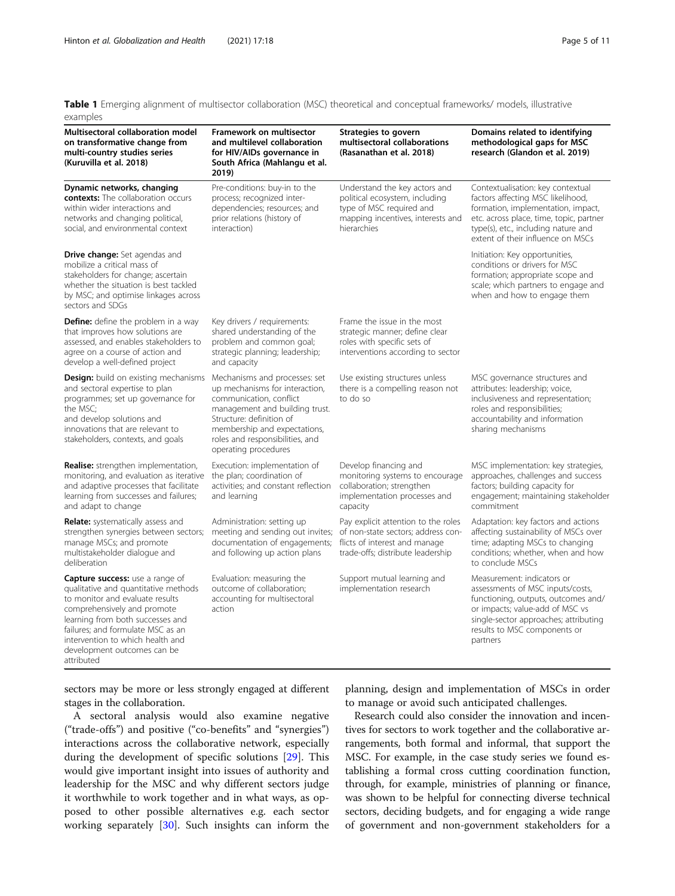<span id="page-4-0"></span>Table 1 Emerging alignment of multisector collaboration (MSC) theoretical and conceptual frameworks/ models, illustrative examples

| Multisectoral collaboration model<br>on transformative change from<br>multi-country studies series<br>(Kuruvilla et al. 2018)                                                                                                                                                                              | Framework on multisector<br>and multilevel collaboration<br>for HIV/AIDs governance in<br>South Africa (Mahlangu et al.<br>2019)                                                                                                                    | Strategies to govern<br>multisectoral collaborations<br>(Rasanathan et al. 2018)                                                                | Domains related to identifying<br>methodological gaps for MSC<br>research (Glandon et al. 2019)                                                                                                                                     |
|------------------------------------------------------------------------------------------------------------------------------------------------------------------------------------------------------------------------------------------------------------------------------------------------------------|-----------------------------------------------------------------------------------------------------------------------------------------------------------------------------------------------------------------------------------------------------|-------------------------------------------------------------------------------------------------------------------------------------------------|-------------------------------------------------------------------------------------------------------------------------------------------------------------------------------------------------------------------------------------|
| Dynamic networks, changing<br><b>contexts:</b> The collaboration occurs<br>within wider interactions and<br>networks and changing political,<br>social, and environmental context                                                                                                                          | Pre-conditions: buy-in to the<br>process; recognized inter-<br>dependencies; resources; and<br>prior relations (history of<br>interaction)                                                                                                          | Understand the key actors and<br>political ecosystem, including<br>type of MSC required and<br>mapping incentives, interests and<br>hierarchies | Contextualisation: key contextual<br>factors affecting MSC likelihood,<br>formation, implementation, impact,<br>etc. across place, time, topic, partner<br>type(s), etc., including nature and<br>extent of their influence on MSCs |
| <b>Drive change:</b> Set agendas and<br>mobilize a critical mass of<br>stakeholders for change; ascertain<br>whether the situation is best tackled<br>by MSC; and optimise linkages across<br>sectors and SDGs                                                                                             |                                                                                                                                                                                                                                                     |                                                                                                                                                 | Initiation: Key opportunities,<br>conditions or drivers for MSC<br>formation; appropriate scope and<br>scale; which partners to engage and<br>when and how to engage them                                                           |
| <b>Define:</b> define the problem in a way<br>that improves how solutions are<br>assessed, and enables stakeholders to<br>agree on a course of action and<br>develop a well-defined project                                                                                                                | Key drivers / requirements:<br>shared understanding of the<br>problem and common goal;<br>strategic planning; leadership;<br>and capacity                                                                                                           | Frame the issue in the most<br>strategic manner; define clear<br>roles with specific sets of<br>interventions according to sector               |                                                                                                                                                                                                                                     |
| <b>Design:</b> build on existing mechanisms<br>and sectoral expertise to plan<br>programmes; set up governance for<br>the MSC;<br>and develop solutions and<br>innovations that are relevant to<br>stakeholders, contexts, and goals                                                                       | Mechanisms and processes: set<br>up mechanisms for interaction,<br>communication, conflict<br>management and building trust.<br>Structure: definition of<br>membership and expectations,<br>roles and responsibilities, and<br>operating procedures | Use existing structures unless<br>there is a compelling reason not<br>to do so                                                                  | MSC governance structures and<br>attributes: leadership; voice,<br>inclusiveness and representation;<br>roles and responsibilities;<br>accountability and information<br>sharing mechanisms                                         |
| <b>Realise:</b> strengthen implementation,<br>monitoring, and evaluation as iterative<br>and adaptive processes that facilitate<br>learning from successes and failures;<br>and adapt to change                                                                                                            | Execution: implementation of<br>the plan; coordination of<br>activities; and constant reflection<br>and learning                                                                                                                                    | Develop financing and<br>monitoring systems to encourage<br>collaboration; strengthen<br>implementation processes and<br>capacity               | MSC implementation: key strategies,<br>approaches, challenges and success<br>factors; building capacity for<br>engagement; maintaining stakeholder<br>commitment                                                                    |
| <b>Relate:</b> systematically assess and<br>strengthen synergies between sectors;<br>manage MSCs; and promote<br>multistakeholder dialogue and<br>deliberation                                                                                                                                             | Administration: setting up<br>meeting and sending out invites;<br>documentation of engagements;<br>and following up action plans                                                                                                                    | Pay explicit attention to the roles<br>of non-state sectors; address con-<br>flicts of interest and manage<br>trade-offs; distribute leadership | Adaptation: key factors and actions<br>affecting sustainability of MSCs over<br>time; adapting MSCs to changing<br>conditions; whether, when and how<br>to conclude MSCs                                                            |
| <b>Capture success:</b> use a range of<br>qualitative and quantitative methods<br>to monitor and evaluate results<br>comprehensively and promote<br>learning from both successes and<br>failures; and formulate MSC as an<br>intervention to which health and<br>development outcomes can be<br>attributed | Evaluation: measuring the<br>outcome of collaboration;<br>accounting for multisectoral<br>action                                                                                                                                                    | Support mutual learning and<br>implementation research                                                                                          | Measurement: indicators or<br>assessments of MSC inputs/costs,<br>functioning, outputs, outcomes and/<br>or impacts; value-add of MSC vs<br>single-sector approaches; attributing<br>results to MSC components or<br>partners       |

sectors may be more or less strongly engaged at different stages in the collaboration.

A sectoral analysis would also examine negative ("trade-offs") and positive ("co-benefits" and "synergies") interactions across the collaborative network, especially during the development of specific solutions [[29\]](#page-9-0). This would give important insight into issues of authority and leadership for the MSC and why different sectors judge it worthwhile to work together and in what ways, as opposed to other possible alternatives e.g. each sector working separately [[30\]](#page-9-0). Such insights can inform the

planning, design and implementation of MSCs in order to manage or avoid such anticipated challenges.

Research could also consider the innovation and incentives for sectors to work together and the collaborative arrangements, both formal and informal, that support the MSC. For example, in the case study series we found establishing a formal cross cutting coordination function, through, for example, ministries of planning or finance, was shown to be helpful for connecting diverse technical sectors, deciding budgets, and for engaging a wide range of government and non-government stakeholders for a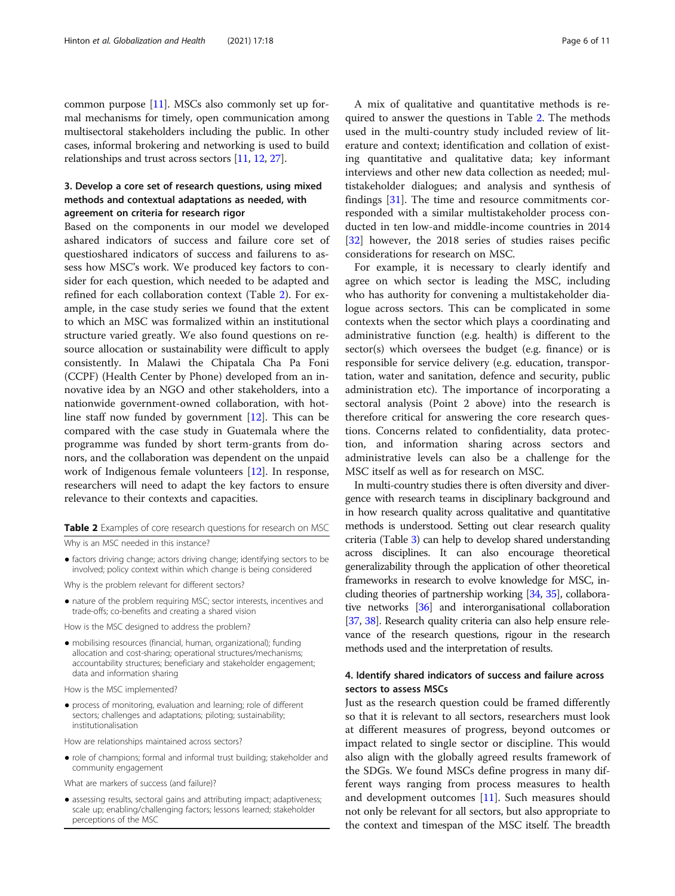<span id="page-5-0"></span>common purpose [\[11\]](#page-9-0). MSCs also commonly set up formal mechanisms for timely, open communication among multisectoral stakeholders including the public. In other cases, informal brokering and networking is used to build relationships and trust across sectors [[11](#page-9-0), [12,](#page-9-0) [27\]](#page-9-0).

# 3. Develop a core set of research questions, using mixed methods and contextual adaptations as needed, with agreement on criteria for research rigor

Based on the components in our model we developed ashared indicators of success and failure core set of questioshared indicators of success and failurens to assess how MSC's work. We produced key factors to consider for each question, which needed to be adapted and refined for each collaboration context (Table 2). For example, in the case study series we found that the extent to which an MSC was formalized within an institutional structure varied greatly. We also found questions on resource allocation or sustainability were difficult to apply consistently. In Malawi the Chipatala Cha Pa Foni (CCPF) (Health Center by Phone) developed from an innovative idea by an NGO and other stakeholders, into a nationwide government-owned collaboration, with hotline staff now funded by government  $[12]$ . This can be compared with the case study in Guatemala where the programme was funded by short term-grants from donors, and the collaboration was dependent on the unpaid work of Indigenous female volunteers [\[12](#page-9-0)]. In response, researchers will need to adapt the key factors to ensure relevance to their contexts and capacities.

Table 2 Examples of core research questions for research on MSC Why is an MSC needed in this instance?

● factors driving change; actors driving change; identifying sectors to be involved; policy context within which change is being considered

Why is the problem relevant for different sectors?

● nature of the problem requiring MSC; sector interests, incentives and trade-offs; co-benefits and creating a shared vision

How is the MSC designed to address the problem?

● mobilising resources (financial, human, organizational); funding allocation and cost-sharing; operational structures/mechanisms; accountability structures; beneficiary and stakeholder engagement; data and information sharing

How is the MSC implemented?

● process of monitoring, evaluation and learning; role of different sectors; challenges and adaptations; piloting; sustainability; institutionalisation

How are relationships maintained across sectors?

● role of champions; formal and informal trust building; stakeholder and community engagement

What are markers of success (and failure)?

● assessing results, sectoral gains and attributing impact; adaptiveness; scale up; enabling/challenging factors; lessons learned; stakeholder perceptions of the MSC

A mix of qualitative and quantitative methods is required to answer the questions in Table 2. The methods used in the multi-country study included review of literature and context; identification and collation of existing quantitative and qualitative data; key informant interviews and other new data collection as needed; multistakeholder dialogues; and analysis and synthesis of findings [[31\]](#page-9-0). The time and resource commitments corresponded with a similar multistakeholder process conducted in ten low-and middle-income countries in 2014 [[32\]](#page-9-0) however, the 2018 series of studies raises pecific considerations for research on MSC.

For example, it is necessary to clearly identify and agree on which sector is leading the MSC, including who has authority for convening a multistakeholder dialogue across sectors. This can be complicated in some contexts when the sector which plays a coordinating and administrative function (e.g. health) is different to the sector(s) which oversees the budget (e.g. finance) or is responsible for service delivery (e.g. education, transportation, water and sanitation, defence and security, public administration etc). The importance of incorporating a sectoral analysis (Point 2 above) into the research is therefore critical for answering the core research questions. Concerns related to confidentiality, data protection, and information sharing across sectors and administrative levels can also be a challenge for the MSC itself as well as for research on MSC.

In multi-country studies there is often diversity and divergence with research teams in disciplinary background and in how research quality across qualitative and quantitative methods is understood. Setting out clear research quality criteria (Table [3\)](#page-6-0) can help to develop shared understanding across disciplines. It can also encourage theoretical generalizability through the application of other theoretical frameworks in research to evolve knowledge for MSC, including theories of partnership working [\[34,](#page-9-0) [35](#page-9-0)], collaborative networks [\[36\]](#page-9-0) and interorganisational collaboration [[37](#page-9-0), [38\]](#page-9-0). Research quality criteria can also help ensure relevance of the research questions, rigour in the research methods used and the interpretation of results.

# 4. Identify shared indicators of success and failure across sectors to assess MSCs

Just as the research question could be framed differently so that it is relevant to all sectors, researchers must look at different measures of progress, beyond outcomes or impact related to single sector or discipline. This would also align with the globally agreed results framework of the SDGs. We found MSCs define progress in many different ways ranging from process measures to health and development outcomes [[11](#page-9-0)]. Such measures should not only be relevant for all sectors, but also appropriate to the context and timespan of the MSC itself. The breadth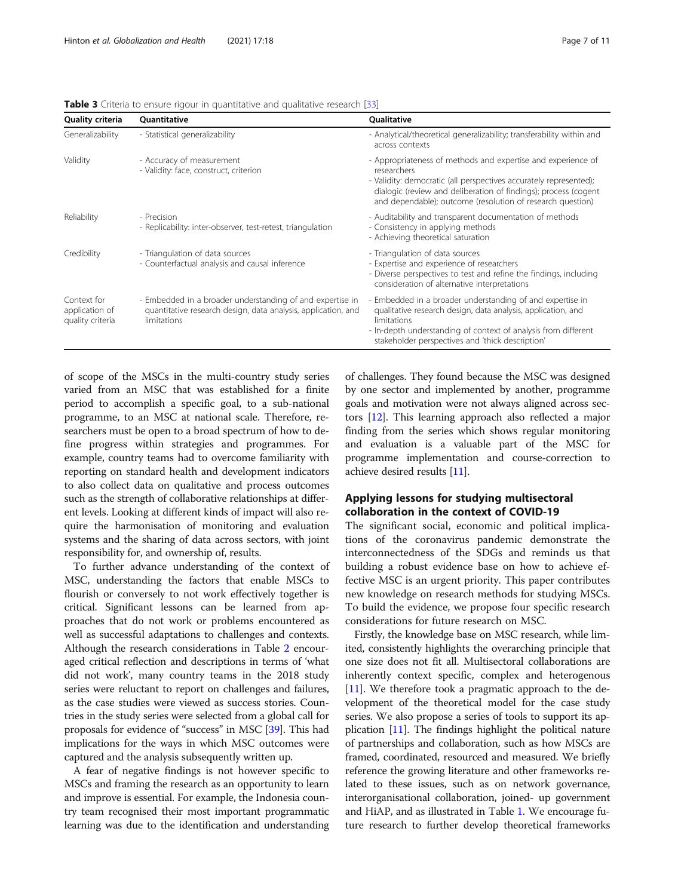| <b>Quality criteria</b>                           | <b>Ouantitative</b>                                                                                                                       | Qualitative                                                                                                                                                                                                                                                                       |  |
|---------------------------------------------------|-------------------------------------------------------------------------------------------------------------------------------------------|-----------------------------------------------------------------------------------------------------------------------------------------------------------------------------------------------------------------------------------------------------------------------------------|--|
| Generalizability                                  | - Statistical generalizability                                                                                                            | - Analytical/theoretical generalizability; transferability within and<br>across contexts                                                                                                                                                                                          |  |
| Validity                                          | - Accuracy of measurement<br>- Validity: face, construct, criterion                                                                       | - Appropriateness of methods and expertise and experience of<br>researchers<br>- Validity: democratic (all perspectives accurately represented);<br>dialogic (review and deliberation of findings); process (cogent<br>and dependable); outcome (resolution of research question) |  |
| Reliability                                       | - Precision<br>- Replicability: inter-observer, test-retest, triangulation                                                                | - Auditability and transparent documentation of methods<br>- Consistency in applying methods<br>- Achieving theoretical saturation                                                                                                                                                |  |
| Credibility                                       | - Triangulation of data sources<br>- Counterfactual analysis and causal inference                                                         | - Triangulation of data sources<br>- Expertise and experience of researchers<br>- Diverse perspectives to test and refine the findings, including<br>consideration of alternative interpretations                                                                                 |  |
| Context for<br>application of<br>quality criteria | - Embedded in a broader understanding of and expertise in<br>quantitative research design, data analysis, application, and<br>limitations | - Embedded in a broader understanding of and expertise in<br>qualitative research design, data analysis, application, and<br>limitations<br>- In-depth understanding of context of analysis from different<br>stakeholder perspectives and 'thick description'                    |  |

<span id="page-6-0"></span>Table 3 Criteria to ensure rigour in quantitative and qualitative research [[33](#page-9-0)]

of scope of the MSCs in the multi-country study series varied from an MSC that was established for a finite period to accomplish a specific goal, to a sub-national programme, to an MSC at national scale. Therefore, researchers must be open to a broad spectrum of how to define progress within strategies and programmes. For example, country teams had to overcome familiarity with reporting on standard health and development indicators to also collect data on qualitative and process outcomes such as the strength of collaborative relationships at different levels. Looking at different kinds of impact will also require the harmonisation of monitoring and evaluation systems and the sharing of data across sectors, with joint responsibility for, and ownership of, results.

To further advance understanding of the context of MSC, understanding the factors that enable MSCs to flourish or conversely to not work effectively together is critical. Significant lessons can be learned from approaches that do not work or problems encountered as well as successful adaptations to challenges and contexts. Although the research considerations in Table [2](#page-5-0) encouraged critical reflection and descriptions in terms of 'what did not work', many country teams in the 2018 study series were reluctant to report on challenges and failures, as the case studies were viewed as success stories. Countries in the study series were selected from a global call for proposals for evidence of "success" in MSC [\[39\]](#page-9-0). This had implications for the ways in which MSC outcomes were captured and the analysis subsequently written up.

A fear of negative findings is not however specific to MSCs and framing the research as an opportunity to learn and improve is essential. For example, the Indonesia country team recognised their most important programmatic learning was due to the identification and understanding

of challenges. They found because the MSC was designed by one sector and implemented by another, programme goals and motivation were not always aligned across sectors [[12](#page-9-0)]. This learning approach also reflected a major finding from the series which shows regular monitoring and evaluation is a valuable part of the MSC for programme implementation and course-correction to achieve desired results [[11](#page-9-0)].

# Applying lessons for studying multisectoral collaboration in the context of COVID-19

The significant social, economic and political implications of the coronavirus pandemic demonstrate the interconnectedness of the SDGs and reminds us that building a robust evidence base on how to achieve effective MSC is an urgent priority. This paper contributes new knowledge on research methods for studying MSCs. To build the evidence, we propose four specific research considerations for future research on MSC.

Firstly, the knowledge base on MSC research, while limited, consistently highlights the overarching principle that one size does not fit all. Multisectoral collaborations are inherently context specific, complex and heterogenous [[11](#page-9-0)]. We therefore took a pragmatic approach to the development of the theoretical model for the case study series. We also propose a series of tools to support its application [\[11](#page-9-0)]. The findings highlight the political nature of partnerships and collaboration, such as how MSCs are framed, coordinated, resourced and measured. We briefly reference the growing literature and other frameworks related to these issues, such as on network governance, interorganisational collaboration, joined- up government and HiAP, and as illustrated in Table [1](#page-4-0). We encourage future research to further develop theoretical frameworks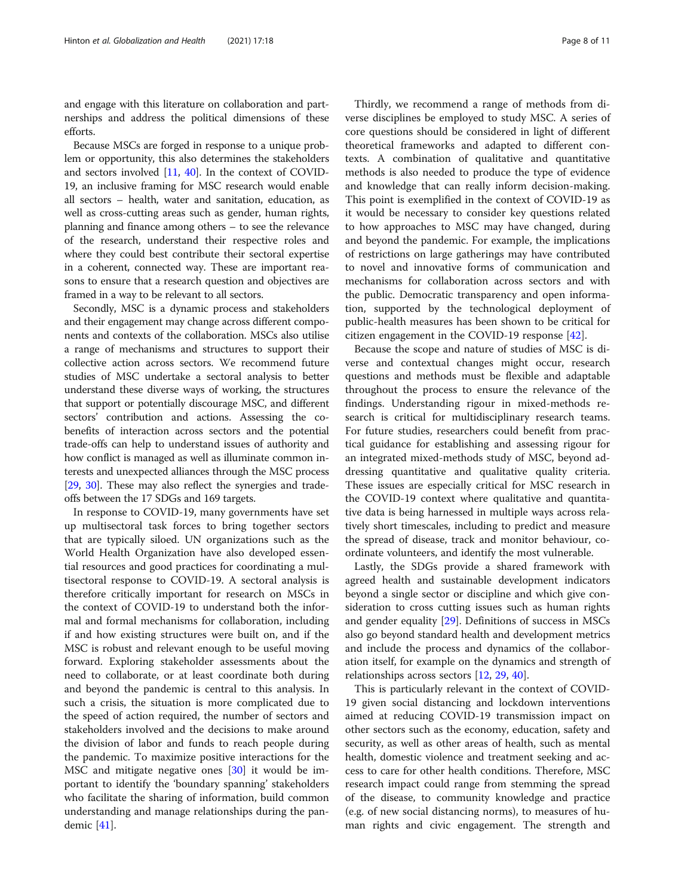and engage with this literature on collaboration and partnerships and address the political dimensions of these efforts.

Because MSCs are forged in response to a unique problem or opportunity, this also determines the stakeholders and sectors involved [\[11](#page-9-0), [40\]](#page-10-0). In the context of COVID-19, an inclusive framing for MSC research would enable all sectors – health, water and sanitation, education, as well as cross-cutting areas such as gender, human rights, planning and finance among others – to see the relevance of the research, understand their respective roles and where they could best contribute their sectoral expertise in a coherent, connected way. These are important reasons to ensure that a research question and objectives are framed in a way to be relevant to all sectors.

Secondly, MSC is a dynamic process and stakeholders and their engagement may change across different components and contexts of the collaboration. MSCs also utilise a range of mechanisms and structures to support their collective action across sectors. We recommend future studies of MSC undertake a sectoral analysis to better understand these diverse ways of working, the structures that support or potentially discourage MSC, and different sectors' contribution and actions. Assessing the cobenefits of interaction across sectors and the potential trade-offs can help to understand issues of authority and how conflict is managed as well as illuminate common interests and unexpected alliances through the MSC process [[29](#page-9-0), [30](#page-9-0)]. These may also reflect the synergies and tradeoffs between the 17 SDGs and 169 targets.

In response to COVID-19, many governments have set up multisectoral task forces to bring together sectors that are typically siloed. UN organizations such as the World Health Organization have also developed essential resources and good practices for coordinating a multisectoral response to COVID-19. A sectoral analysis is therefore critically important for research on MSCs in the context of COVID-19 to understand both the informal and formal mechanisms for collaboration, including if and how existing structures were built on, and if the MSC is robust and relevant enough to be useful moving forward. Exploring stakeholder assessments about the need to collaborate, or at least coordinate both during and beyond the pandemic is central to this analysis. In such a crisis, the situation is more complicated due to the speed of action required, the number of sectors and stakeholders involved and the decisions to make around the division of labor and funds to reach people during the pandemic. To maximize positive interactions for the MSC and mitigate negative ones [\[30](#page-9-0)] it would be important to identify the 'boundary spanning' stakeholders who facilitate the sharing of information, build common understanding and manage relationships during the pandemic [[41](#page-10-0)].

Thirdly, we recommend a range of methods from diverse disciplines be employed to study MSC. A series of core questions should be considered in light of different theoretical frameworks and adapted to different contexts. A combination of qualitative and quantitative methods is also needed to produce the type of evidence and knowledge that can really inform decision-making. This point is exemplified in the context of COVID-19 as it would be necessary to consider key questions related to how approaches to MSC may have changed, during and beyond the pandemic. For example, the implications of restrictions on large gatherings may have contributed to novel and innovative forms of communication and mechanisms for collaboration across sectors and with the public. Democratic transparency and open information, supported by the technological deployment of public-health measures has been shown to be critical for citizen engagement in the COVID-19 response [\[42\]](#page-10-0).

Because the scope and nature of studies of MSC is diverse and contextual changes might occur, research questions and methods must be flexible and adaptable throughout the process to ensure the relevance of the findings. Understanding rigour in mixed-methods research is critical for multidisciplinary research teams. For future studies, researchers could benefit from practical guidance for establishing and assessing rigour for an integrated mixed-methods study of MSC, beyond addressing quantitative and qualitative quality criteria. These issues are especially critical for MSC research in the COVID-19 context where qualitative and quantitative data is being harnessed in multiple ways across relatively short timescales, including to predict and measure the spread of disease, track and monitor behaviour, coordinate volunteers, and identify the most vulnerable.

Lastly, the SDGs provide a shared framework with agreed health and sustainable development indicators beyond a single sector or discipline and which give consideration to cross cutting issues such as human rights and gender equality [\[29](#page-9-0)]. Definitions of success in MSCs also go beyond standard health and development metrics and include the process and dynamics of the collaboration itself, for example on the dynamics and strength of relationships across sectors [\[12,](#page-9-0) [29,](#page-9-0) [40\]](#page-10-0).

This is particularly relevant in the context of COVID-19 given social distancing and lockdown interventions aimed at reducing COVID-19 transmission impact on other sectors such as the economy, education, safety and security, as well as other areas of health, such as mental health, domestic violence and treatment seeking and access to care for other health conditions. Therefore, MSC research impact could range from stemming the spread of the disease, to community knowledge and practice (e.g. of new social distancing norms), to measures of human rights and civic engagement. The strength and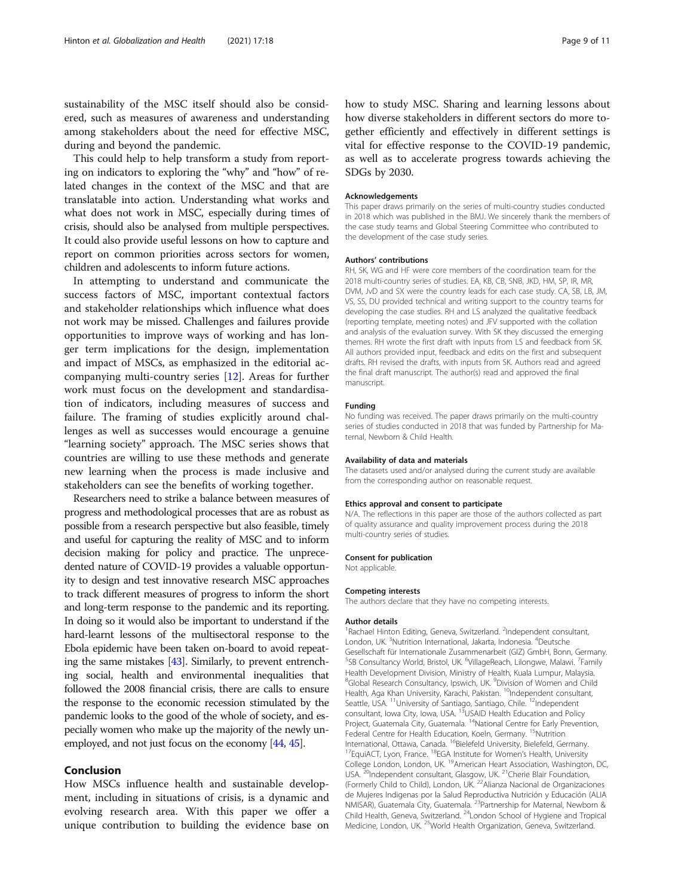sustainability of the MSC itself should also be considered, such as measures of awareness and understanding among stakeholders about the need for effective MSC, during and beyond the pandemic.

This could help to help transform a study from reporting on indicators to exploring the "why" and "how" of related changes in the context of the MSC and that are translatable into action. Understanding what works and what does not work in MSC, especially during times of crisis, should also be analysed from multiple perspectives. It could also provide useful lessons on how to capture and report on common priorities across sectors for women, children and adolescents to inform future actions.

In attempting to understand and communicate the success factors of MSC, important contextual factors and stakeholder relationships which influence what does not work may be missed. Challenges and failures provide opportunities to improve ways of working and has longer term implications for the design, implementation and impact of MSCs, as emphasized in the editorial accompanying multi-country series [[12](#page-9-0)]. Areas for further work must focus on the development and standardisation of indicators, including measures of success and failure. The framing of studies explicitly around challenges as well as successes would encourage a genuine "learning society" approach. The MSC series shows that countries are willing to use these methods and generate new learning when the process is made inclusive and stakeholders can see the benefits of working together.

Researchers need to strike a balance between measures of progress and methodological processes that are as robust as possible from a research perspective but also feasible, timely and useful for capturing the reality of MSC and to inform decision making for policy and practice. The unprecedented nature of COVID-19 provides a valuable opportunity to design and test innovative research MSC approaches to track different measures of progress to inform the short and long-term response to the pandemic and its reporting. In doing so it would also be important to understand if the hard-learnt lessons of the multisectoral response to the Ebola epidemic have been taken on-board to avoid repeating the same mistakes [\[43](#page-10-0)]. Similarly, to prevent entrenching social, health and environmental inequalities that followed the 2008 financial crisis, there are calls to ensure the response to the economic recession stimulated by the pandemic looks to the good of the whole of society, and especially women who make up the majority of the newly unemployed, and not just focus on the economy [\[44](#page-10-0), [45](#page-10-0)].

## Conclusion

How MSCs influence health and sustainable development, including in situations of crisis, is a dynamic and evolving research area. With this paper we offer a unique contribution to building the evidence base on how diverse stakeholders in different sectors do more together efficiently and effectively in different settings is vital for effective response to the COVID-19 pandemic, as well as to accelerate progress towards achieving the SDGs by 2030.

#### Acknowledgements

This paper draws primarily on the series of multi-country studies conducted in 2018 which was published in the BMJ. We sincerely thank the members of the case study teams and Global Steering Committee who contributed to the development of the case study series.

#### Authors' contributions

RH, SK, WG and HF were core members of the coordination team for the 2018 multi-country series of studies. EA, KB, CB, SNB, JKD, HM, SP, IR, MR, DVM, JvD and SX were the country leads for each case study. CA, SB, LB, JM, VS, SS, DU provided technical and writing support to the country teams for developing the case studies. RH and LS analyzed the qualitative feedback (reporting template, meeting notes) and JFV supported with the collation and analysis of the evaluation survey. With SK they discussed the emerging themes. RH wrote the first draft with inputs from LS and feedback from SK. All authors provided input, feedback and edits on the first and subsequent drafts. RH revised the drafts, with inputs from SK. Authors read and agreed the final draft manuscript. The author(s) read and approved the final manuscript.

#### Funding

No funding was received. The paper draws primarily on the multi-country series of studies conducted in 2018 that was funded by Partnership for Maternal, Newborn & Child Health.

#### Availability of data and materials

The datasets used and/or analysed during the current study are available from the corresponding author on reasonable request.

#### Ethics approval and consent to participate

N/A. The reflections in this paper are those of the authors collected as part of quality assurance and quality improvement process during the 2018 multi-country series of studies.

#### Consent for publication

Not applicable.

### Competing interests

The authors declare that they have no competing interests.

#### Author details

<sup>1</sup> Rachael Hinton Editing, Geneva, Switzerland. <sup>2</sup>Independent consultant, London, UK. <sup>3</sup>Nutrition International, Jakarta, Indonesia. <sup>4</sup>Deutsche Gesellschaft für Internationale Zusammenarbeit (GIZ) GmbH, Bonn, Germany. <sup>5</sup>SB Consultancy World, Bristol, UK. <sup>6</sup>VillageReach, Lilongwe, Malawi. <sup>7</sup>Family Health Development Division, Ministry of Health, Kuala Lumpur, Malaysia. <sup>8</sup>Global Research Consultancy, Ipswich, UK. <sup>9</sup>Division of Women and Child Health, Aga Khan University, Karachi, Pakistan. <sup>10</sup>Independent consultant, Seattle, USA. <sup>11</sup>University of Santiago, Santiago, Chile. <sup>12</sup>Independent consultant, Iowa City, Iowa, USA. <sup>13</sup>USAID Health Education and Policy Project, Guatemala City, Guatemala. <sup>14</sup>National Centre for Early Prevention, Federal Centre for Health Education, Koeln, Germany. <sup>15</sup>Nutrition<br>International, Ottawa, Canada. <sup>16</sup>Bielefeld University, Bielefeld, Germany. <sup>17</sup>EquiACT, Lyon, France. <sup>18</sup>EGA Institute for Women's Health, University College London, London, UK. 19American Heart Association, Washington, DC, USA. <sup>20</sup>Independent consultant, Glasgow, UK. <sup>21</sup>Cherie Blair Foundation, (Formerly Child to Child), London, UK. 22Alianza Nacional de Organizaciones de Mujeres Indigenas por la Salud Reproductiva Nutrición y Educación (ALIA<br>NMISAR), Guatemala City, Guatemala. <sup>23</sup>Partnership for Maternal, Newborn & Child Health, Geneva, Switzerland. 24London School of Hygiene and Tropical Medicine, London, UK. <sup>25</sup>World Health Organization, Geneva, Switzerland.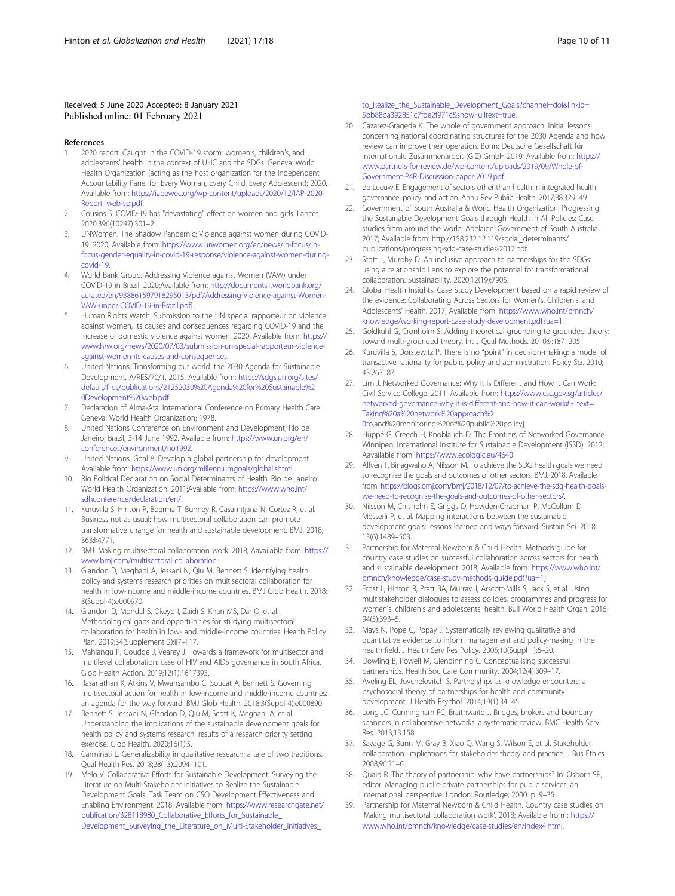#### <span id="page-9-0"></span>Received: 5 June 2020 Accepted: 8 January 2021 Published online: 01 February 2021

#### References

- 1. 2020 report. Caught in the COVID-19 storm: women's, children's, and adolescents' health in the context of UHC and the SDGs. Geneva: World Health Organization (acting as the host organization for the Independent Accountability Panel for Every Woman, Every Child, Every Adolescent); 2020. Available from: [https://iapewec.org/wp-content/uploads/2020/12/IAP-2020-](https://iapewec.org/wp-content/uploads/2020/12/IAP-2020-Report_web-sp.pdf) [Report\\_web-sp.pdf.](https://iapewec.org/wp-content/uploads/2020/12/IAP-2020-Report_web-sp.pdf)
- 2. Cousins S. COVID-19 has "devastating" effect on women and girls. Lancet. 2020;396(10247):301–2.
- 3. UNWomen. The Shadow Pandemic: Violence against women during COVID-19. 2020; Available from: [https://www.unwomen.org/en/news/in-focus/in](https://www.unwomen.org/en/news/in-focus/in-focus-gender-equality-in-covid-19-response/violence-against-women-during-covid-19)[focus-gender-equality-in-covid-19-response/violence-against-women-during](https://www.unwomen.org/en/news/in-focus/in-focus-gender-equality-in-covid-19-response/violence-against-women-during-covid-19)[covid-19](https://www.unwomen.org/en/news/in-focus/in-focus-gender-equality-in-covid-19-response/violence-against-women-during-covid-19).
- 4. World Bank Group. Addressing Violence against Women (VAW) under COVID-19 in Brazil. 2020;Available from: [http://documents1.worldbank.org/](http://documents1.worldbank.org/curated/en/938861597918295013/pdf/Addressing-Violence-against-Women-VAW-under-COVID-19-in-Brazil.pdf) [curated/en/938861597918295013/pdf/Addressing-Violence-against-Women-](http://documents1.worldbank.org/curated/en/938861597918295013/pdf/Addressing-Violence-against-Women-VAW-under-COVID-19-in-Brazil.pdf)[VAW-under-COVID-19-in-Brazil.pdf](http://documents1.worldbank.org/curated/en/938861597918295013/pdf/Addressing-Violence-against-Women-VAW-under-COVID-19-in-Brazil.pdf)].
- 5. Human Rights Watch. Submission to the UN special rapporteur on violence against women, its causes and consequences regarding COVID-19 and the increase of domestic violence against women. 2020; Available from: [https://](https://www.hrw.org/news/2020/07/03/submission-un-special-rapporteur-violence-against-women-its-causes-and-consequences) [www.hrw.org/news/2020/07/03/submission-un-special-rapporteur-violence](https://www.hrw.org/news/2020/07/03/submission-un-special-rapporteur-violence-against-women-its-causes-and-consequences)[against-women-its-causes-and-consequences](https://www.hrw.org/news/2020/07/03/submission-un-special-rapporteur-violence-against-women-its-causes-and-consequences).
- 6. United Nations. Transforming our world: the 2030 Agenda for Sustainable Development. A/RES/70/1. 2015. Available from: [https://sdgs.un.org/sites/](https://sdgs.un.org/sites/default/files/publications/21252030%20Agenda%20for%20Sustainable%20Development%20web.pdf) [default/files/publications/21252030%20Agenda%20for%20Sustainable%2](https://sdgs.un.org/sites/default/files/publications/21252030%20Agenda%20for%20Sustainable%20Development%20web.pdf) [0Development%20web.pdf](https://sdgs.un.org/sites/default/files/publications/21252030%20Agenda%20for%20Sustainable%20Development%20web.pdf).
- 7. Declaration of Alma-Ata. International Conference on Primary Health Care. Geneva: World Health Organization; 1978.
- 8. United Nations Conference on Environment and Development, Rio de Janeiro, Brazil, 3-14 June 1992. Available from: [https://www.un.org/en/](https://www.un.org/en/conferences/environment/rio1992) [conferences/environment/rio1992.](https://www.un.org/en/conferences/environment/rio1992)
- United Nations. Goal 8: Develop a global partnership for development. Available from: <https://www.un.org/millenniumgoals/global.shtml>.
- 10. Rio Political Declaration on Social Determinants of Health. Rio de Janeiro: World Health Organization. 2011;Available from: [https://www.who.int/](https://www.who.int/sdhconference/declaration/en/) [sdhconference/declaration/en/.](https://www.who.int/sdhconference/declaration/en/)
- 11. Kuruvilla S, Hinton R, Boerma T, Bunney R, Casamitjana N, Cortez R, et al. Business not as usual: how multisectoral collaboration can promote transformative change for health and sustainable development. BMJ. 2018; 363:k4771.
- 12. BMJ. Making multisectoral collaboration work. 2018; Aavailable from: [https://](https://www.bmj.com/multisectoral-collaboration) [www.bmj.com/multisectoral-collaboration](https://www.bmj.com/multisectoral-collaboration).
- 13. Glandon D, Meghani A, Jessani N, Qiu M, Bennett S. Identifying health policy and systems research priorities on multisectoral collaboration for health in low-income and middle-income countries. BMJ Glob Health. 2018; 3(Suppl 4):e000970.
- 14. Glandon D, Mondal S, Okeyo I, Zaidi S, Khan MS, Dar O, et al. Methodological gaps and opportunities for studying multisectoral collaboration for health in low- and middle-income countries. Health Policy Plan. 2019;34(Supplement 2):ii7–ii17.
- 15. Mahlangu P, Goudge J, Vearey J. Towards a framework for multisector and multilevel collaboration: case of HIV and AIDS governance in South Africa. Glob Health Action. 2019;12(1):1617393.
- 16. Rasanathan K, Atkins V, Mwansambo C, Soucat A, Bennett S. Governing multisectoral action for health in low-income and middle-income countries: an agenda for the way forward. BMJ Glob Health. 2018;3(Suppl 4):e000890.
- 17. Bennett S, Jessani N, Glandon D, Qiu M, Scott K, Meghani A, et al. Understanding the implications of the sustainable development goals for health policy and systems research: results of a research priority setting exercise. Glob Health. 2020;16(1):5.
- 18. Carminati L. Generalizability in qualitative research: a tale of two traditions. Qual Health Res. 2018;28(13):2094–101.
- 19. Melo V. Collaborative Efforts for Sustainable Development: Surveying the Literature on Multi-Stakeholder Initiatives to Realize the Sustainable Development Goals. Task Team on CSO Development Effectiveness and Enabling Environment. 2018; Available from: [https://www.researchgate.net/](https://www.researchgate.net/publication/328118980_Collaborative_Efforts_for_Sustainable_Development_Surveying_the_Literature_on_Multi-Stakeholder_Initiatives_to_Realize_the_Sustainable_Development_Goals?channel=doi&linkId=5bb88ba392851c7fde2f971c&showFulltext=true) [publication/328118980\\_Collaborative\\_Efforts\\_for\\_Sustainable\\_](https://www.researchgate.net/publication/328118980_Collaborative_Efforts_for_Sustainable_Development_Surveying_the_Literature_on_Multi-Stakeholder_Initiatives_to_Realize_the_Sustainable_Development_Goals?channel=doi&linkId=5bb88ba392851c7fde2f971c&showFulltext=true) [Development\\_Surveying\\_the\\_Literature\\_on\\_Multi-Stakeholder\\_Initiatives\\_](https://www.researchgate.net/publication/328118980_Collaborative_Efforts_for_Sustainable_Development_Surveying_the_Literature_on_Multi-Stakeholder_Initiatives_to_Realize_the_Sustainable_Development_Goals?channel=doi&linkId=5bb88ba392851c7fde2f971c&showFulltext=true)

#### [to\\_Realize\\_the\\_Sustainable\\_Development\\_Goals?channel=doi&linkId=](https://www.researchgate.net/publication/328118980_Collaborative_Efforts_for_Sustainable_Development_Surveying_the_Literature_on_Multi-Stakeholder_Initiatives_to_Realize_the_Sustainable_Development_Goals?channel=doi&linkId=5bb88ba392851c7fde2f971c&showFulltext=true) [5bb88ba392851c7fde2f971c&showFulltext=true.](https://www.researchgate.net/publication/328118980_Collaborative_Efforts_for_Sustainable_Development_Surveying_the_Literature_on_Multi-Stakeholder_Initiatives_to_Realize_the_Sustainable_Development_Goals?channel=doi&linkId=5bb88ba392851c7fde2f971c&showFulltext=true)

- 20. Cázarez-Grageda K. The whole of government approach: Initial lessons concerning national coordinating structures for the 2030 Agenda and how review can improve their operation. Bonn: Deutsche Gesellschaft für Internationale Zusammenarbeit (GIZ) GmbH 2019; Available from: [https://](https://www.partners-for-review.de/wp-content/uploads/2019/09/Whole-of-Government-P4R-Discussion-paper-2019.pdf) [www.partners-for-review.de/wp-content/uploads/2019/09/Whole-of-](https://www.partners-for-review.de/wp-content/uploads/2019/09/Whole-of-Government-P4R-Discussion-paper-2019.pdf)[Government-P4R-Discussion-paper-2019.pdf.](https://www.partners-for-review.de/wp-content/uploads/2019/09/Whole-of-Government-P4R-Discussion-paper-2019.pdf)
- 21. de Leeuw E. Engagement of sectors other than health in integrated health governance, policy, and action. Annu Rev Public Health. 2017;38:329–49.
- 22. Government of South Australia & World Health Organization. Progressing the Sustainable Development Goals through Health in All Policies: Case studies from around the world. Adelaide: Government of South Australia. 2017; Available from: http://158.232.12.119/social\_determinants/ publications/progressing-sdg-case-studies-2017.pdf.
- 23. Stott L, Murphy D. An inclusive approach to partnerships for the SDGs: using a relationship Lens to explore the potential for transformational collaboration. Sustainability. 2020;12(19):7905.
- 24. Global Health Insights. Case Study Development based on a rapid review of the evidence: Collaborating Across Sectors for Women's, Children's, and Adolescents' Health. 2017; Available from: [https://www.who.int/pmnch/](https://www.who.int/pmnch/knowledge/working-report-case-study-development.pdf?ua=1) [knowledge/working-report-case-study-development.pdf?ua=1](https://www.who.int/pmnch/knowledge/working-report-case-study-development.pdf?ua=1).
- 25. Goldkuhl G, Cronholm S. Adding theoretical grounding to grounded theory: toward multi-grounded theory. Int J Qual Methods. 2010;9:187–205.
- 26. Kuruvilla S, Dorstewitz P. There is no "point" in decision-making: a model of transactive rationality for public policy and administration. Policy Sci. 2010; 43:263–87.
- 27. Lim J. Networked Governance: Why It Is Different and How It Can Work: Civil Service College. 2011; Available from: [https://www.csc.gov.sg/articles/](https://www.csc.gov.sg/articles/networked-governance-why-it-is-different-and-how-it-can-work#:~:text=Taking%20a%20network%20approach%20to) [networked-governance-why-it-is-different-and-how-it-can-work#:~:text=](https://www.csc.gov.sg/articles/networked-governance-why-it-is-different-and-how-it-can-work#:~:text=Taking%20a%20network%20approach%20to) [Taking%20a%20network%20approach%2](https://www.csc.gov.sg/articles/networked-governance-why-it-is-different-and-how-it-can-work#:~:text=Taking%20a%20network%20approach%20to) [0to](https://www.csc.gov.sg/articles/networked-governance-why-it-is-different-and-how-it-can-work#:~:text=Taking%20a%20network%20approach%20to),and%20monitoring%20of%20public%20policy].

28. Huppé G, Creech H, Knoblauch D. The Frontiers of Networked Governance.

- Winnipeg: International Institute for Sustainable Development (ISSD). 2012; Aavailable from: [https://www.ecologic.eu/4640.](https://www.ecologic.eu/4640)
- 29. Alfvén T, Binagwaho A, Nilsson M. To achieve the SDG health goals we need to recognise the goals and outcomes of other sectors. BMJ. 2018. Available from: [https://blogs.bmj.com/bmj/2018/12/07/to-achieve-the-sdg-health-goals](https://blogs.bmj.com/bmj/2018/12/07/to-achieve-the-sdg-health-goals-we-need-to-recognise-the-goals-and-outcomes-of-other-sectors/)[we-need-to-recognise-the-goals-and-outcomes-of-other-sectors/.](https://blogs.bmj.com/bmj/2018/12/07/to-achieve-the-sdg-health-goals-we-need-to-recognise-the-goals-and-outcomes-of-other-sectors/)
- 30. Nilsson M, Chisholm E, Griggs D, Howden-Chapman P, McCollum D, Messerli P, et al. Mapping interactions between the sustainable development goals: lessons learned and ways forward. Sustain Sci. 2018; 13(6):1489–503.
- 31. Partnership for Maternal Newborn & Child Health. Methods guide for country case studies on successful collaboration across sectors for health and sustainable development. 2018; Available from: [https://www.who.int/](https://www.who.int/pmnch/knowledge/case-study-methods-guide.pdf?ua=1) [pmnch/knowledge/case-study-methods-guide.pdf?ua=1](https://www.who.int/pmnch/knowledge/case-study-methods-guide.pdf?ua=1)].
- 32. Frost L, Hinton R, Pratt BA, Murray J, Arscott-Mills S, Jack S, et al. Using multistakeholder dialogues to assess policies, programmes and progress for women's, children's and adolescents' health. Bull World Health Organ. 2016; 94(5):393–5.
- 33. Mays N, Pope C, Popay J. Systematically reviewing qualitative and quantitative evidence to inform management and policy-making in the health field. J Health Serv Res Policy. 2005;10(Suppl 1):6–20.
- 34. Dowling B, Powell M, Glendinning C. Conceptualising successful partnerships. Health Soc Care Community. 2004;12(4):309–17.
- 35. Aveling EL, Jovchelovitch S. Partnerships as knowledge encounters: a psychosocial theory of partnerships for health and community development. J Health Psychol. 2014;19(1):34–45.
- 36. Long JC, Cunningham FC, Braithwaite J. Bridges, brokers and boundary spanners in collaborative networks: a systematic review. BMC Health Serv Res. 2013;13:158.
- 37. Savage G, Bunn M, Gray B, Xiao Q, Wang S, Wilson E, et al. Stakeholder collaboration: implications for stakeholder theory and practice. J Bus Ethics. 2008;96:21–6.
- 38. Quaid R. The theory of partnership: why have partnerships? In: Osborn SP, editor. Managing public-private partnerships for public services: an international perspective. London: Routledge; 2000. p. 9–35.
- 39. Partnership for Maternal Newborn & Child Health. Country case studies on 'Making multisectoral collaboration work'. 2018; Available from : [https://](https://www.who.int/pmnch/knowledge/case-studies/en/index4.html) [www.who.int/pmnch/knowledge/case-studies/en/index4.html.](https://www.who.int/pmnch/knowledge/case-studies/en/index4.html)